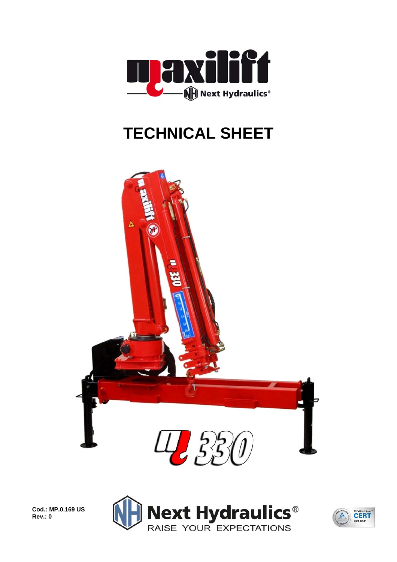

## **TECHNICAL SHEET**





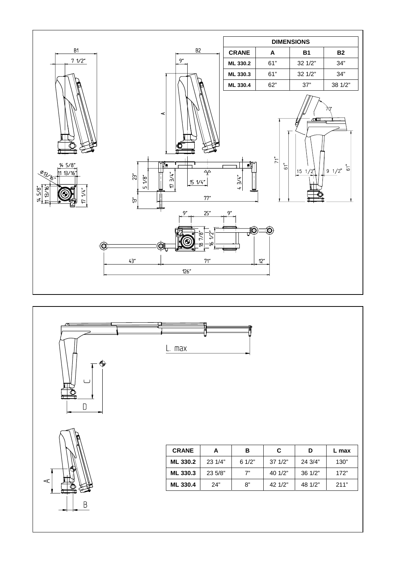



⋖

 $\mathsf B$ 

**ML 330.4** 24" 8" 42 1/2" 48 1/2" 211"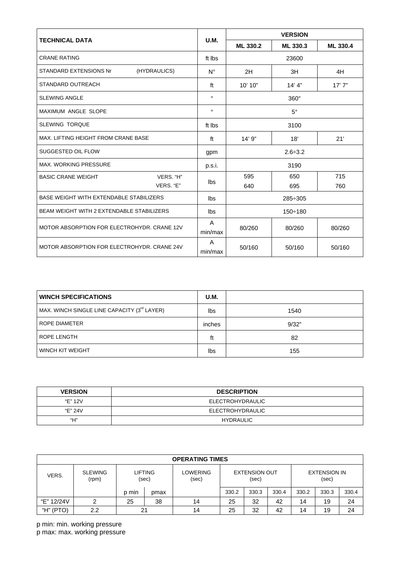|                                                  |              | <b>VERSION</b> |          |          |  |  |  |
|--------------------------------------------------|--------------|----------------|----------|----------|--|--|--|
| <b>TECHNICAL DATA</b>                            | U.M.         | ML 330.2       | ML 330.3 | ML 330.4 |  |  |  |
| <b>CRANE RATING</b>                              | ft Ibs       | 23600          |          |          |  |  |  |
| STANDARD EXTENSIONS Nr<br>(HYDRAULICS)           | $N^{\circ}$  | 2H             | 3H       | 4H       |  |  |  |
| <b>STANDARD OUTREACH</b>                         | ft           | 10' 10"        | 14' 4''  | 17'7''   |  |  |  |
| <b>SLEWING ANGLE</b>                             | $\circ$      | $360^\circ$    |          |          |  |  |  |
| <b>MAXIMUM ANGLE SLOPE</b>                       | $\circ$      | $5^\circ$      |          |          |  |  |  |
| <b>SLEWING TORQUE</b>                            | ft Ibs       | 3100           |          |          |  |  |  |
| MAX, LIFTING HEIGHT FROM CRANE BASE              | ft           | 14'9''         | 21'      |          |  |  |  |
| SUGGESTED OIL FLOW                               | gpm          | $2.6 \div 3.2$ |          |          |  |  |  |
| MAX. WORKING PRESSURE                            | p.s.i.       | 3190           |          |          |  |  |  |
| VERS. "H"<br><b>BASIC CRANE WEIGHT</b>           | lbs          | 595            | 650      | 715      |  |  |  |
| VERS. "E"                                        |              | 640            | 695      | 760      |  |  |  |
| <b>BASE WEIGHT WITH EXTENDABLE STABILIZERS</b>   | lbs          | 285÷305        |          |          |  |  |  |
| <b>BEAM WEIGHT WITH 2 EXTENDABLE STABILIZERS</b> | lbs          | $150 \div 180$ |          |          |  |  |  |
| MOTOR ABSORPTION FOR ELECTROHYDR, CRANE 12V      | A<br>min/max | 80/260         | 80/260   | 80/260   |  |  |  |
| MOTOR ABSORPTION FOR ELECTROHYDR, CRANE 24V      | A<br>min/max | 50/160         | 50/160   | 50/160   |  |  |  |

| <b>WINCH SPECIFICATIONS</b>                 | U.M.   |       |
|---------------------------------------------|--------|-------|
| MAX. WINCH SINGLE LINE CAPACITY (3rd LAYER) | lbs    | 1540  |
| ROPE DIAMETER                               | inches | 9/32" |
| ROPE LENGTH                                 | ft     | 82    |
| WINCH KIT WEIGHT                            | lbs    | 155   |

| <b>VERSION</b> | <b>DESCRIPTION</b> |  |  |  |  |
|----------------|--------------------|--|--|--|--|
| "E" 12V        | ELECTROHYDRAULIC   |  |  |  |  |
| "E" 24V        | ELECTROHYDRAULIC   |  |  |  |  |
| "Н"            | HYDRAULIC          |  |  |  |  |

| <b>OPERATING TIMES</b> |                         |                         |      |                   |                               |       |       |                              |       |       |
|------------------------|-------------------------|-------------------------|------|-------------------|-------------------------------|-------|-------|------------------------------|-------|-------|
| VERS.                  | <b>SLEWING</b><br>(rpm) | <b>LIFTING</b><br>(sec) |      | LOWERING<br>(sec) | <b>EXTENSION OUT</b><br>(sec) |       |       | <b>EXTENSION IN</b><br>(sec) |       |       |
|                        |                         | p min                   | pmax |                   | 330.2                         | 330.3 | 330.4 | 330.2                        | 330.3 | 330.4 |
| "E" 12/24V             |                         | 25                      | 38   | 14                | 25                            | 32    | 42    | 14                           | 19    | 24    |
| "H" (PTO)              | 2.2                     | 21                      |      | 14                | 25                            | 32    | 42    | 14                           | 19    | 24    |